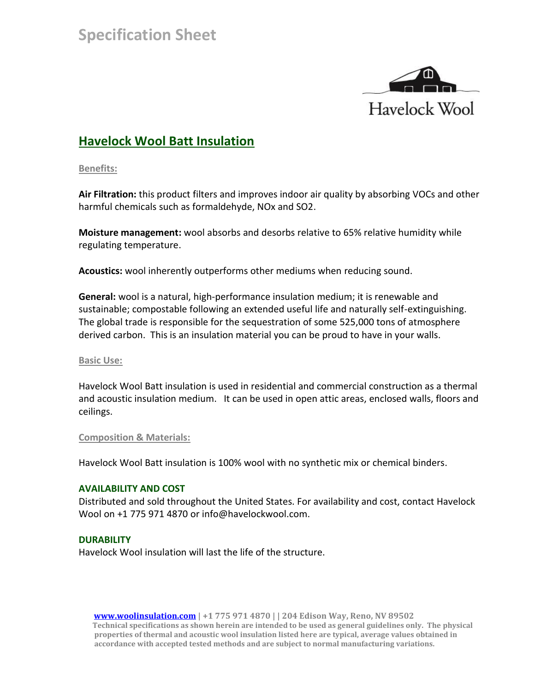

# **Havelock Wool Batt Insulation**

**Benefits:**

**Air Filtration:** this product filters and improves indoor air quality by absorbing VOCs and other harmful chemicals such as formaldehyde, NOx and SO2.

**Moisture management:** wool absorbs and desorbs relative to 65% relative humidity while regulating temperature.

**Acoustics:** wool inherently outperforms other mediums when reducing sound.

**General:** wool is a natural, high-performance insulation medium; it is renewable and sustainable; compostable following an extended useful life and naturally self-extinguishing. The global trade is responsible for the sequestration of some 525,000 tons of atmosphere derived carbon. This is an insulation material you can be proud to have in your walls.

## **Basic Use:**

Havelock Wool Batt insulation is used in residential and commercial construction as a thermal and acoustic insulation medium. It can be used in open attic areas, enclosed walls, floors and ceilings.

#### **Composition & Materials:**

Havelock Wool Batt insulation is 100% wool with no synthetic mix or chemical binders.

## **AVAILABILITY AND COST**

Distributed and sold throughout the United States. For availability and cost, contact Havelock Wool on +1 775 971 4870 or info@havelockwool.com.

## **DURABILITY**

Havelock Wool insulation will last the life of the structure.

 **[www.woolinsulation.com](http://www.woolinsulation.com/) | +1 775 971 4870 | | 204 Edison Way, Reno, NV 89502 Technical specifications as shown herein are intended to be used as general guidelines only. The physical properties of thermal and acoustic wool insulation listed here are typical, average values obtained in accordance with accepted tested methods and are subject to normal manufacturing variations.**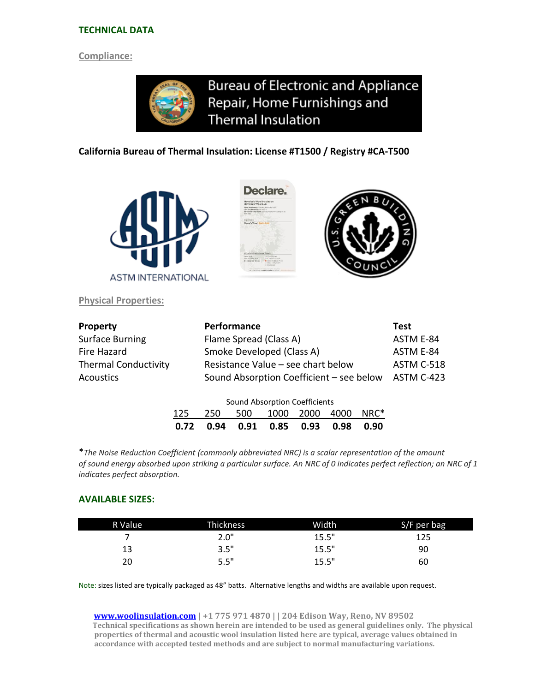#### **TECHNICAL DATA**

#### **Compliance:**

**Bureau of Electronic and Appliance** Repair, Home Furnishings and **Thermal Insulation** 

#### **California Bureau of Thermal Insulation: License #T1500 / Registry #CA-T500**



**Physical Properties:**





| <b>Property</b>             | Performance                              | Test       |
|-----------------------------|------------------------------------------|------------|
| <b>Surface Burning</b>      | Flame Spread (Class A)                   | ASTM E-84  |
| Fire Hazard                 | Smoke Developed (Class A)                | ASTM E-84  |
| <b>Thermal Conductivity</b> | Resistance Value - see chart below       | ASTM C-518 |
| <b>Acoustics</b>            | Sound Absorption Coefficient - see below | ASTM C-423 |
|                             | Sound Abcorption Coefficients            |            |

| Sound Absorption Coefficients |  |  |                                          |  |  |  |  |  |
|-------------------------------|--|--|------------------------------------------|--|--|--|--|--|
|                               |  |  | 125 250 500 1000 2000 4000 NRC*          |  |  |  |  |  |
|                               |  |  | 0.72  0.94  0.91  0.85  0.93  0.98  0.90 |  |  |  |  |  |

\**The Noise Reduction Coefficient (commonly abbreviated NRC) is a scalar representation of the amount of sound energy absorbed upon striking a particular surface. An NRC of 0 indicates perfect reflection; an NRC of 1 indicates perfect absorption.*

#### **AVAILABLE SIZES:**

| R Value | <b>Thickness</b> | Width | S/F per bag |
|---------|------------------|-------|-------------|
|         | 2.0"             | 15.5" | 125         |
| 13      | 3.5"             | 15.5" | 90          |
| 20      | 5.5"             | 15.5" | 60          |

Note: sizes listed are typically packaged as 48" batts. Alternative lengths and widths are available upon request.

 **[www.woolinsulation.com](http://www.woolinsulation.com/) | +1 775 971 4870 | | 204 Edison Way, Reno, NV 89502 Technical specifications as shown herein are intended to be used as general guidelines only. The physical properties of thermal and acoustic wool insulation listed here are typical, average values obtained in accordance with accepted tested methods and are subject to normal manufacturing variations.**